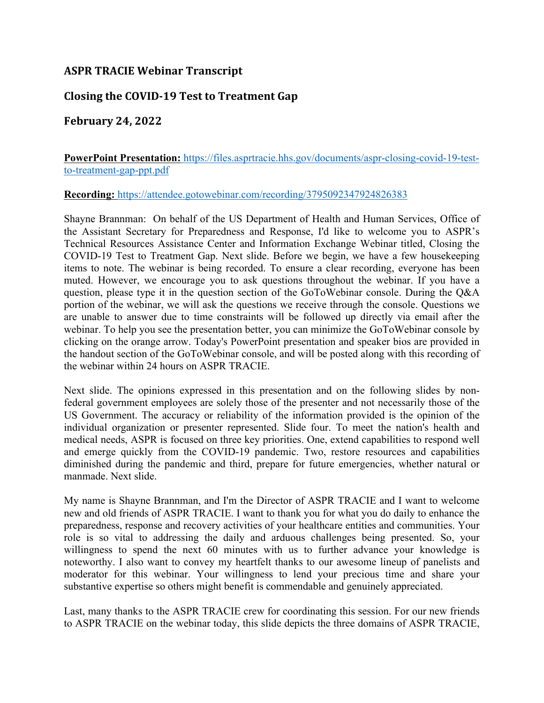## **ASPR TRACIE Webinar Transcript**

## **Closing the COVID-19 Test to Treatment Gap**

## **February 24, 2022**

**PowerPoint Presentation:** [https://files.asprtracie.hhs.gov/documents/aspr-closing-covid-19-test](https://files.asprtracie.hhs.gov/documents/aspr-closing-covid-19-test-to-treatment-gap-ppt.pdf)[to-treatment-gap-ppt.pdf](https://files.asprtracie.hhs.gov/documents/aspr-closing-covid-19-test-to-treatment-gap-ppt.pdf) 

## **Recording:** <https://attendee.gotowebinar.com/recording/3795092347924826383>

 question, please type it in the question section of the GoToWebinar console. During the Q&A are unable to answer due to time constraints will be followed up directly via email after the webinar. To help you see the presentation better, you can minimize the GoToWebinar console by Shayne Brannman: On behalf of the US Department of Health and Human Services, Office of the Assistant Secretary for Preparedness and Response, I'd like to welcome you to ASPR's Technical Resources Assistance Center and Information Exchange Webinar titled, Closing the COVID-19 Test to Treatment Gap. Next slide. Before we begin, we have a few housekeeping items to note. The webinar is being recorded. To ensure a clear recording, everyone has been muted. However, we encourage you to ask questions throughout the webinar. If you have a portion of the webinar, we will ask the questions we receive through the console. Questions we clicking on the orange arrow. Today's PowerPoint presentation and speaker bios are provided in the handout section of the GoToWebinar console, and will be posted along with this recording of the webinar within 24 hours on ASPR TRACIE.

Next slide. The opinions expressed in this presentation and on the following slides by nonfederal government employees are solely those of the presenter and not necessarily those of the US Government. The accuracy or reliability of the information provided is the opinion of the individual organization or presenter represented. Slide four. To meet the nation's health and medical needs, ASPR is focused on three key priorities. One, extend capabilities to respond well and emerge quickly from the COVID-19 pandemic. Two, restore resources and capabilities diminished during the pandemic and third, prepare for future emergencies, whether natural or manmade. Next slide.

 preparedness, response and recovery activities of your healthcare entities and communities. Your role is so vital to addressing the daily and arduous challenges being presented. So, your substantive expertise so others might benefit is commendable and genuinely appreciated. My name is Shayne Brannman, and I'm the Director of ASPR TRACIE and I want to welcome new and old friends of ASPR TRACIE. I want to thank you for what you do daily to enhance the willingness to spend the next 60 minutes with us to further advance your knowledge is noteworthy. I also want to convey my heartfelt thanks to our awesome lineup of panelists and moderator for this webinar. Your willingness to lend your precious time and share your

 Last, many thanks to the ASPR TRACIE crew for coordinating this session. For our new friends to ASPR TRACIE on the webinar today, this slide depicts the three domains of ASPR TRACIE,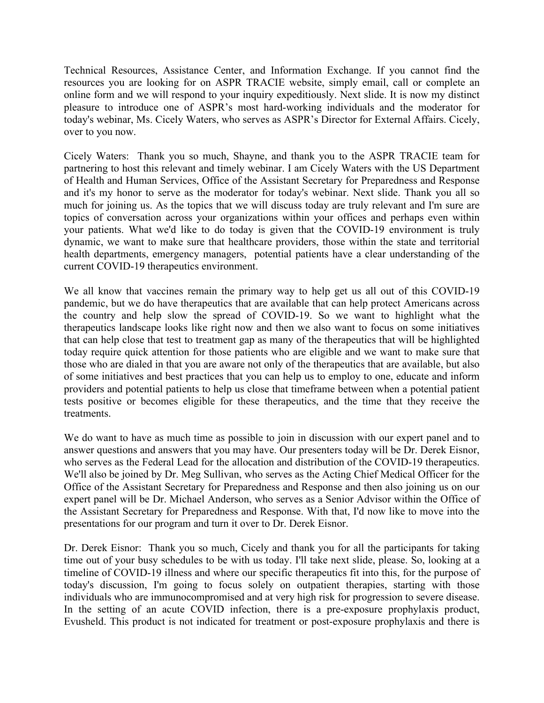Technical Resources, Assistance Center, and Information Exchange. If you cannot find the resources you are looking for on ASPR TRACIE website, simply email, call or complete an online form and we will respond to your inquiry expeditiously. Next slide. It is now my distinct today's webinar, Ms. Cicely Waters, who serves as ASPR's Director for External Affairs. Cicely, pleasure to introduce one of ASPR's most hard-working individuals and the moderator for over to you now.

 much for joining us. As the topics that we will discuss today are truly relevant and I'm sure are topics of conversation across your organizations within your offices and perhaps even within health departments, emergency managers, potential patients have a clear understanding of the Cicely Waters: Thank you so much, Shayne, and thank you to the ASPR TRACIE team for partnering to host this relevant and timely webinar. I am Cicely Waters with the US Department of Health and Human Services, Office of the Assistant Secretary for Preparedness and Response and it's my honor to serve as the moderator for today's webinar. Next slide. Thank you all so your patients. What we'd like to do today is given that the COVID-19 environment is truly dynamic, we want to make sure that healthcare providers, those within the state and territorial current COVID-19 therapeutics environment.

 the country and help slow the spread of COVID-19. So we want to highlight what the therapeutics landscape looks like right now and then we also want to focus on some initiatives We all know that vaccines remain the primary way to help get us all out of this COVID-19 pandemic, but we do have therapeutics that are available that can help protect Americans across that can help close that test to treatment gap as many of the therapeutics that will be highlighted today require quick attention for those patients who are eligible and we want to make sure that those who are dialed in that you are aware not only of the therapeutics that are available, but also of some initiatives and best practices that you can help us to employ to one, educate and inform providers and potential patients to help us close that timeframe between when a potential patient tests positive or becomes eligible for these therapeutics, and the time that they receive the treatments.

 Office of the Assistant Secretary for Preparedness and Response and then also joining us on our We do want to have as much time as possible to join in discussion with our expert panel and to answer questions and answers that you may have. Our presenters today will be Dr. Derek Eisnor, who serves as the Federal Lead for the allocation and distribution of the COVID-19 therapeutics. We'll also be joined by Dr. Meg Sullivan, who serves as the Acting Chief Medical Officer for the expert panel will be Dr. Michael Anderson, who serves as a Senior Advisor within the Office of the Assistant Secretary for Preparedness and Response. With that, I'd now like to move into the presentations for our program and turn it over to Dr. Derek Eisnor.

Dr. Derek Eisnor: Thank you so much, Cicely and thank you for all the participants for taking time out of your busy schedules to be with us today. I'll take next slide, please. So, looking at a timeline of COVID-19 illness and where our specific therapeutics fit into this, for the purpose of today's discussion, I'm going to focus solely on outpatient therapies, starting with those individuals who are immunocompromised and at very high risk for progression to severe disease. In the setting of an acute COVID infection, there is a pre-exposure prophylaxis product, Evusheld. This product is not indicated for treatment or post-exposure prophylaxis and there is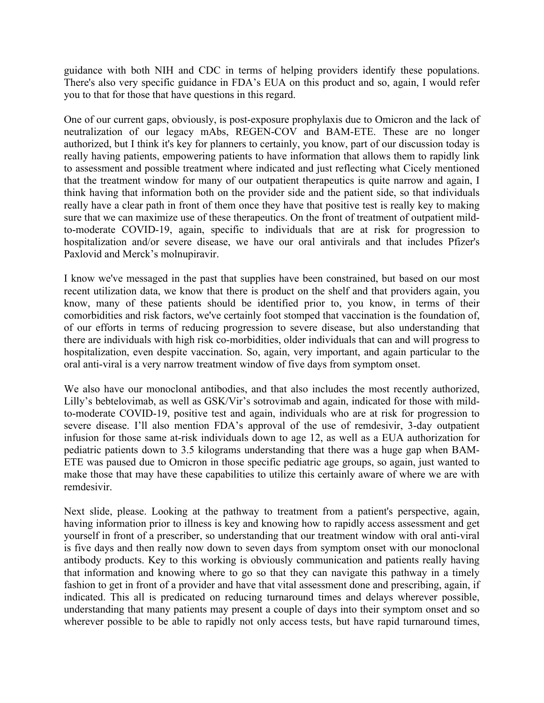you to that for those that have questions in this regard. guidance with both NIH and CDC in terms of helping providers identify these populations. There's also very specific guidance in FDA's EUA on this product and so, again, I would refer

 really having patients, empowering patients to have information that allows them to rapidly link sure that we can maximize use of these therapeutics. On the front of treatment of outpatient mild- to-moderate COVID-19, again, specific to individuals that are at risk for progression to One of our current gaps, obviously, is post-exposure prophylaxis due to Omicron and the lack of neutralization of our legacy mAbs, REGEN-COV and BAM-ETE. These are no longer authorized, but I think it's key for planners to certainly, you know, part of our discussion today is to assessment and possible treatment where indicated and just reflecting what Cicely mentioned that the treatment window for many of our outpatient therapeutics is quite narrow and again, I think having that information both on the provider side and the patient side, so that individuals really have a clear path in front of them once they have that positive test is really key to making hospitalization and/or severe disease, we have our oral antivirals and that includes Pfizer's Paxlovid and Merck's molnupiravir.

 I know we've messaged in the past that supplies have been constrained, but based on our most comorbidities and risk factors, we've certainly foot stomped that vaccination is the foundation of, there are individuals with high risk co-morbidities, older individuals that can and will progress to recent utilization data, we know that there is product on the shelf and that providers again, you know, many of these patients should be identified prior to, you know, in terms of their of our efforts in terms of reducing progression to severe disease, but also understanding that hospitalization, even despite vaccination. So, again, very important, and again particular to the oral anti-viral is a very narrow treatment window of five days from symptom onset.

 pediatric patients down to 3.5 kilograms understanding that there was a huge gap when BAM-We also have our monoclonal antibodies, and that also includes the most recently authorized, Lilly's bebtelovimab, as well as GSK/Vir's sotrovimab and again, indicated for those with mildto-moderate COVID-19, positive test and again, individuals who are at risk for progression to severe disease. I'll also mention FDA's approval of the use of remdesivir, 3-day outpatient infusion for those same at-risk individuals down to age 12, as well as a EUA authorization for ETE was paused due to Omicron in those specific pediatric age groups, so again, just wanted to make those that may have these capabilities to utilize this certainly aware of where we are with remdesivir.

Next slide, please. Looking at the pathway to treatment from a patient's perspective, again, having information prior to illness is key and knowing how to rapidly access assessment and get yourself in front of a prescriber, so understanding that our treatment window with oral anti-viral is five days and then really now down to seven days from symptom onset with our monoclonal antibody products. Key to this working is obviously communication and patients really having that information and knowing where to go so that they can navigate this pathway in a timely fashion to get in front of a provider and have that vital assessment done and prescribing, again, if indicated. This all is predicated on reducing turnaround times and delays wherever possible, understanding that many patients may present a couple of days into their symptom onset and so wherever possible to be able to rapidly not only access tests, but have rapid turnaround times,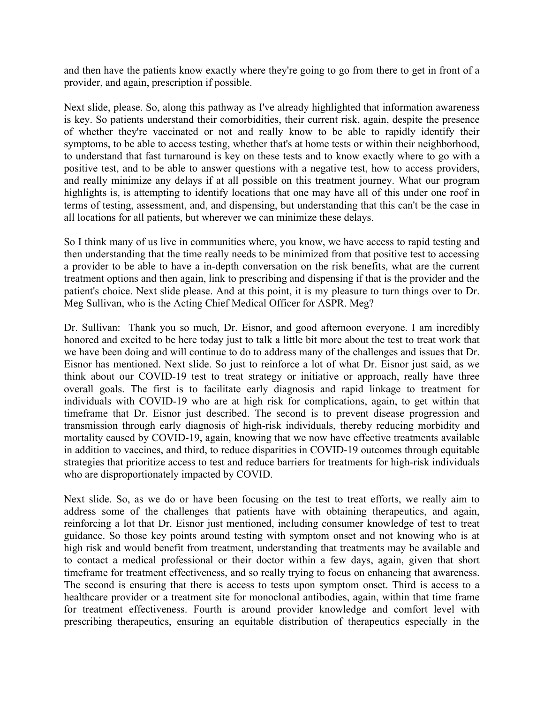and then have the patients know exactly where they're going to go from there to get in front of a provider, and again, prescription if possible.

 of whether they're vaccinated or not and really know to be able to rapidly identify their positive test, and to be able to answer questions with a negative test, how to access providers, Next slide, please. So, along this pathway as I've already highlighted that information awareness is key. So patients understand their comorbidities, their current risk, again, despite the presence symptoms, to be able to access testing, whether that's at home tests or within their neighborhood, to understand that fast turnaround is key on these tests and to know exactly where to go with a and really minimize any delays if at all possible on this treatment journey. What our program highlights is, is attempting to identify locations that one may have all of this under one roof in terms of testing, assessment, and, and dispensing, but understanding that this can't be the case in all locations for all patients, but wherever we can minimize these delays.

 then understanding that the time really needs to be minimized from that positive test to accessing patient's choice. Next slide please. And at this point, it is my pleasure to turn things over to Dr. So I think many of us live in communities where, you know, we have access to rapid testing and a provider to be able to have a in-depth conversation on the risk benefits, what are the current treatment options and then again, link to prescribing and dispensing if that is the provider and the Meg Sullivan, who is the Acting Chief Medical Officer for ASPR. Meg?

 honored and excited to be here today just to talk a little bit more about the test to treat work that Eisnor has mentioned. Next slide. So just to reinforce a lot of what Dr. Eisnor just said, as we timeframe that Dr. Eisnor just described. The second is to prevent disease progression and strategies that prioritize access to test and reduce barriers for treatments for high-risk individuals Dr. Sullivan: Thank you so much, Dr. Eisnor, and good afternoon everyone. I am incredibly we have been doing and will continue to do to address many of the challenges and issues that Dr. think about our COVID-19 test to treat strategy or initiative or approach, really have three overall goals. The first is to facilitate early diagnosis and rapid linkage to treatment for individuals with COVID-19 who are at high risk for complications, again, to get within that transmission through early diagnosis of high-risk individuals, thereby reducing morbidity and mortality caused by COVID-19, again, knowing that we now have effective treatments available in addition to vaccines, and third, to reduce disparities in COVID-19 outcomes through equitable who are disproportionately impacted by COVID.

 reinforcing a lot that Dr. Eisnor just mentioned, including consumer knowledge of test to treat guidance. So those key points around testing with symptom onset and not knowing who is at timeframe for treatment effectiveness, and so really trying to focus on enhancing that awareness. Next slide. So, as we do or have been focusing on the test to treat efforts, we really aim to address some of the challenges that patients have with obtaining therapeutics, and again, high risk and would benefit from treatment, understanding that treatments may be available and to contact a medical professional or their doctor within a few days, again, given that short The second is ensuring that there is access to tests upon symptom onset. Third is access to a healthcare provider or a treatment site for monoclonal antibodies, again, within that time frame for treatment effectiveness. Fourth is around provider knowledge and comfort level with prescribing therapeutics, ensuring an equitable distribution of therapeutics especially in the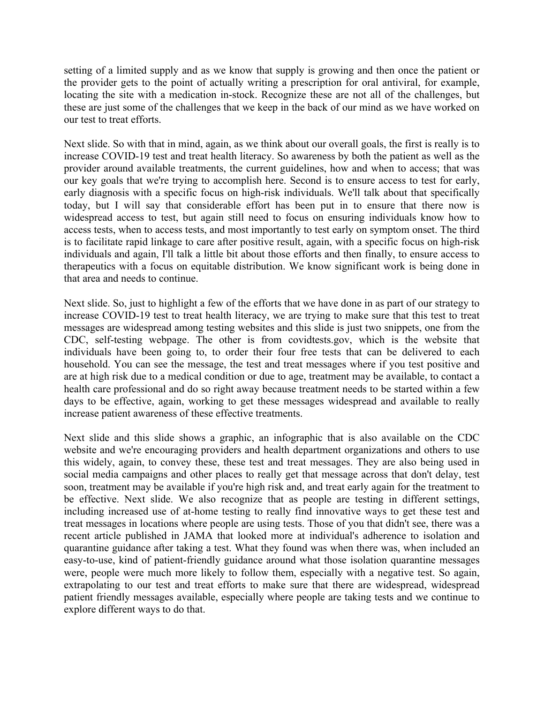setting of a limited supply and as we know that supply is growing and then once the patient or locating the site with a medication in-stock. Recognize these are not all of the challenges, but the provider gets to the point of actually writing a prescription for oral antiviral, for example, these are just some of the challenges that we keep in the back of our mind as we have worked on our test to treat efforts.

 Next slide. So with that in mind, again, as we think about our overall goals, the first is really is to our key goals that we're trying to accomplish here. Second is to ensure access to test for early, access tests, when to access tests, and most importantly to test early on symptom onset. The third that area and needs to continue. increase COVID-19 test and treat health literacy. So awareness by both the patient as well as the provider around available treatments, the current guidelines, how and when to access; that was early diagnosis with a specific focus on high-risk individuals. We'll talk about that specifically today, but I will say that considerable effort has been put in to ensure that there now is widespread access to test, but again still need to focus on ensuring individuals know how to is to facilitate rapid linkage to care after positive result, again, with a specific focus on high-risk individuals and again, I'll talk a little bit about those efforts and then finally, to ensure access to therapeutics with a focus on equitable distribution. We know significant work is being done in

 increase COVID-19 test to treat health literacy, we are trying to make sure that this test to treat messages are widespread among testing websites and this slide is just two snippets, one from the days to be effective, again, working to get these messages widespread and available to really Next slide. So, just to highlight a few of the efforts that we have done in as part of our strategy to CDC, self-testing webpage. The other is from covidtests.gov, which is the website that individuals have been going to, to order their four free tests that can be delivered to each household. You can see the message, the test and treat messages where if you test positive and are at high risk due to a medical condition or due to age, treatment may be available, to contact a health care professional and do so right away because treatment needs to be started within a few increase patient awareness of these effective treatments.

 social media campaigns and other places to really get that message across that don't delay, test extrapolating to our test and treat efforts to make sure that there are widespread, widespread explore different ways to do that. Next slide and this slide shows a graphic, an infographic that is also available on the CDC website and we're encouraging providers and health department organizations and others to use this widely, again, to convey these, these test and treat messages. They are also being used in soon, treatment may be available if you're high risk and, and treat early again for the treatment to be effective. Next slide. We also recognize that as people are testing in different settings, including increased use of at-home testing to really find innovative ways to get these test and treat messages in locations where people are using tests. Those of you that didn't see, there was a recent article published in JAMA that looked more at individual's adherence to isolation and quarantine guidance after taking a test. What they found was when there was, when included an easy-to-use, kind of patient-friendly guidance around what those isolation quarantine messages were, people were much more likely to follow them, especially with a negative test. So again, patient friendly messages available, especially where people are taking tests and we continue to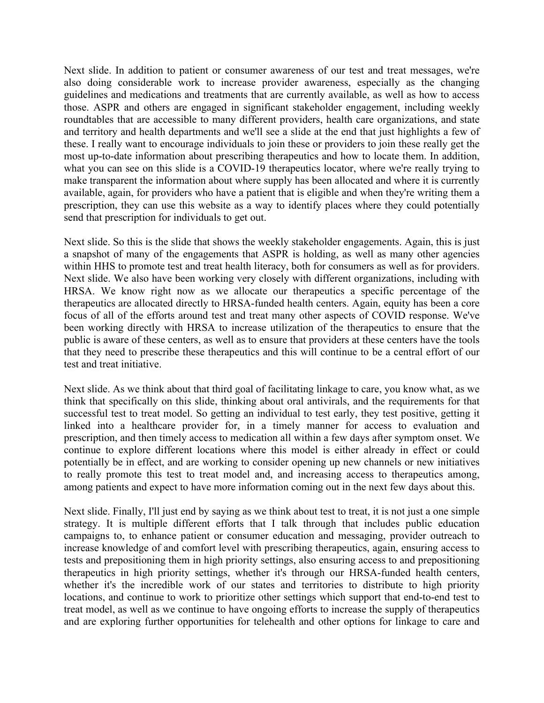what you can see on this slide is a COVID-19 therapeutics locator, where we're really trying to available, again, for providers who have a patient that is eligible and when they're writing them a Next slide. In addition to patient or consumer awareness of our test and treat messages, we're also doing considerable work to increase provider awareness, especially as the changing guidelines and medications and treatments that are currently available, as well as how to access those. ASPR and others are engaged in significant stakeholder engagement, including weekly roundtables that are accessible to many different providers, health care organizations, and state and territory and health departments and we'll see a slide at the end that just highlights a few of these. I really want to encourage individuals to join these or providers to join these really get the most up-to-date information about prescribing therapeutics and how to locate them. In addition, make transparent the information about where supply has been allocated and where it is currently prescription, they can use this website as a way to identify places where they could potentially send that prescription for individuals to get out.

 a snapshot of many of the engagements that ASPR is holding, as well as many other agencies within HHS to promote test and treat health literacy, both for consumers as well as for providers. therapeutics are allocated directly to HRSA-funded health centers. Again, equity has been a core focus of all of the efforts around test and treat many other aspects of COVID response. We've public is aware of these centers, as well as to ensure that providers at these centers have the tools Next slide. So this is the slide that shows the weekly stakeholder engagements. Again, this is just Next slide. We also have been working very closely with different organizations, including with HRSA. We know right now as we allocate our therapeutics a specific percentage of the been working directly with HRSA to increase utilization of the therapeutics to ensure that the that they need to prescribe these therapeutics and this will continue to be a central effort of our test and treat initiative.

 among patients and expect to have more information coming out in the next few days about this. Next slide. As we think about that third goal of facilitating linkage to care, you know what, as we think that specifically on this slide, thinking about oral antivirals, and the requirements for that successful test to treat model. So getting an individual to test early, they test positive, getting it linked into a healthcare provider for, in a timely manner for access to evaluation and prescription, and then timely access to medication all within a few days after symptom onset. We continue to explore different locations where this model is either already in effect or could potentially be in effect, and are working to consider opening up new channels or new initiatives to really promote this test to treat model and, and increasing access to therapeutics among,

 strategy. It is multiple different efforts that I talk through that includes public education therapeutics in high priority settings, whether it's through our HRSA-funded health centers, treat model, as well as we continue to have ongoing efforts to increase the supply of therapeutics and are exploring further opportunities for telehealth and other options for linkage to care and Next slide. Finally, I'll just end by saying as we think about test to treat, it is not just a one simple campaigns to, to enhance patient or consumer education and messaging, provider outreach to increase knowledge of and comfort level with prescribing therapeutics, again, ensuring access to tests and prepositioning them in high priority settings, also ensuring access to and prepositioning whether it's the incredible work of our states and territories to distribute to high priority locations, and continue to work to prioritize other settings which support that end-to-end test to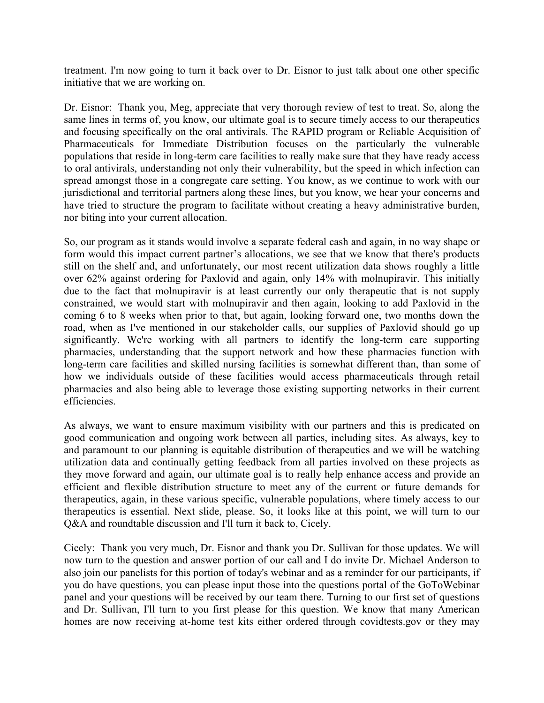treatment. I'm now going to turn it back over to Dr. Eisnor to just talk about one other specific initiative that we are working on.

 Dr. Eisnor: Thank you, Meg, appreciate that very thorough review of test to treat. So, along the jurisdictional and territorial partners along these lines, but you know, we hear your concerns and have tried to structure the program to facilitate without creating a heavy administrative burden, same lines in terms of, you know, our ultimate goal is to secure timely access to our therapeutics and focusing specifically on the oral antivirals. The RAPID program or Reliable Acquisition of Pharmaceuticals for Immediate Distribution focuses on the particularly the vulnerable populations that reside in long-term care facilities to really make sure that they have ready access to oral antivirals, understanding not only their vulnerability, but the speed in which infection can spread amongst those in a congregate care setting. You know, as we continue to work with our nor biting into your current allocation.

 due to the fact that molnupiravir is at least currently our only therapeutic that is not supply pharmacies, understanding that the support network and how these pharmacies function with So, our program as it stands would involve a separate federal cash and again, in no way shape or form would this impact current partner's allocations, we see that we know that there's products still on the shelf and, and unfortunately, our most recent utilization data shows roughly a little over 62% against ordering for Paxlovid and again, only 14% with molnupiravir. This initially constrained, we would start with molnupiravir and then again, looking to add Paxlovid in the coming 6 to 8 weeks when prior to that, but again, looking forward one, two months down the road, when as I've mentioned in our stakeholder calls, our supplies of Paxlovid should go up significantly. We're working with all partners to identify the long-term care supporting long-term care facilities and skilled nursing facilities is somewhat different than, than some of how we individuals outside of these facilities would access pharmaceuticals through retail pharmacies and also being able to leverage those existing supporting networks in their current efficiencies.

 efficient and flexible distribution structure to meet any of the current or future demands for As always, we want to ensure maximum visibility with our partners and this is predicated on good communication and ongoing work between all parties, including sites. As always, key to and paramount to our planning is equitable distribution of therapeutics and we will be watching utilization data and continually getting feedback from all parties involved on these projects as they move forward and again, our ultimate goal is to really help enhance access and provide an therapeutics, again, in these various specific, vulnerable populations, where timely access to our therapeutics is essential. Next slide, please. So, it looks like at this point, we will turn to our Q&A and roundtable discussion and I'll turn it back to, Cicely.

 now turn to the question and answer portion of our call and I do invite Dr. Michael Anderson to also join our panelists for this portion of today's webinar and as a reminder for our participants, if Cicely: Thank you very much, Dr. Eisnor and thank you Dr. Sullivan for those updates. We will you do have questions, you can please input those into the questions portal of the GoToWebinar panel and your questions will be received by our team there. Turning to our first set of questions and Dr. Sullivan, I'll turn to you first please for this question. We know that many American homes are now receiving at-home test kits either ordered through covidtests.gov or they may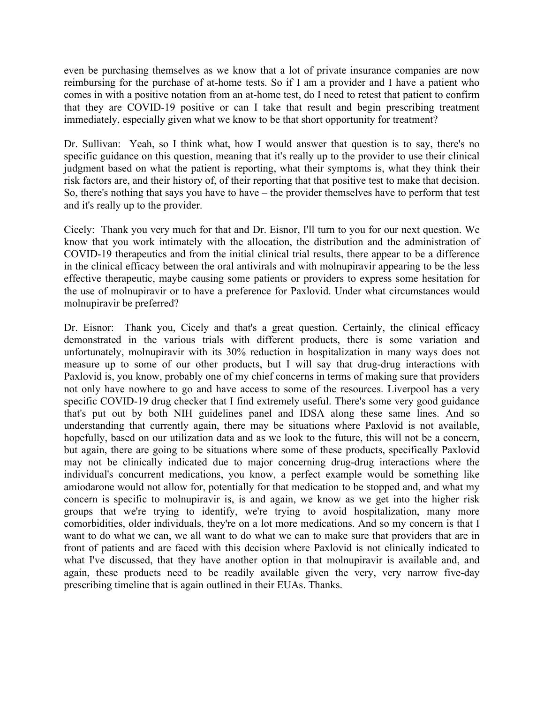immediately, especially given what we know to be that short opportunity for treatment? even be purchasing themselves as we know that a lot of private insurance companies are now reimbursing for the purchase of at-home tests. So if I am a provider and I have a patient who comes in with a positive notation from an at-home test, do I need to retest that patient to confirm that they are COVID-19 positive or can I take that result and begin prescribing treatment

 judgment based on what the patient is reporting, what their symptoms is, what they think their risk factors are, and their history of, of their reporting that that positive test to make that decision. Dr. Sullivan: Yeah, so I think what, how I would answer that question is to say, there's no specific guidance on this question, meaning that it's really up to the provider to use their clinical So, there's nothing that says you have to have – the provider themselves have to perform that test and it's really up to the provider.

 COVID-19 therapeutics and from the initial clinical trial results, there appear to be a difference Cicely: Thank you very much for that and Dr. Eisnor, I'll turn to you for our next question. We know that you work intimately with the allocation, the distribution and the administration of in the clinical efficacy between the oral antivirals and with molnupiravir appearing to be the less effective therapeutic, maybe causing some patients or providers to express some hesitation for the use of molnupiravir or to have a preference for Paxlovid. Under what circumstances would molnupiravir be preferred?

 Paxlovid is, you know, probably one of my chief concerns in terms of making sure that providers individual's concurrent medications, you know, a perfect example would be something like concern is specific to molnupiravir is, is and again, we know as we get into the higher risk groups that we're trying to identify, we're trying to avoid hospitalization, many more comorbidities, older individuals, they're on a lot more medications. And so my concern is that I Dr. Eisnor: Thank you, Cicely and that's a great question. Certainly, the clinical efficacy demonstrated in the various trials with different products, there is some variation and unfortunately, molnupiravir with its 30% reduction in hospitalization in many ways does not measure up to some of our other products, but I will say that drug-drug interactions with not only have nowhere to go and have access to some of the resources. Liverpool has a very specific COVID-19 drug checker that I find extremely useful. There's some very good guidance that's put out by both NIH guidelines panel and IDSA along these same lines. And so understanding that currently again, there may be situations where Paxlovid is not available, hopefully, based on our utilization data and as we look to the future, this will not be a concern, but again, there are going to be situations where some of these products, specifically Paxlovid may not be clinically indicated due to major concerning drug-drug interactions where the amiodarone would not allow for, potentially for that medication to be stopped and, and what my want to do what we can, we all want to do what we can to make sure that providers that are in front of patients and are faced with this decision where Paxlovid is not clinically indicated to what I've discussed, that they have another option in that molnupiravir is available and, and again, these products need to be readily available given the very, very narrow five-day prescribing timeline that is again outlined in their EUAs. Thanks.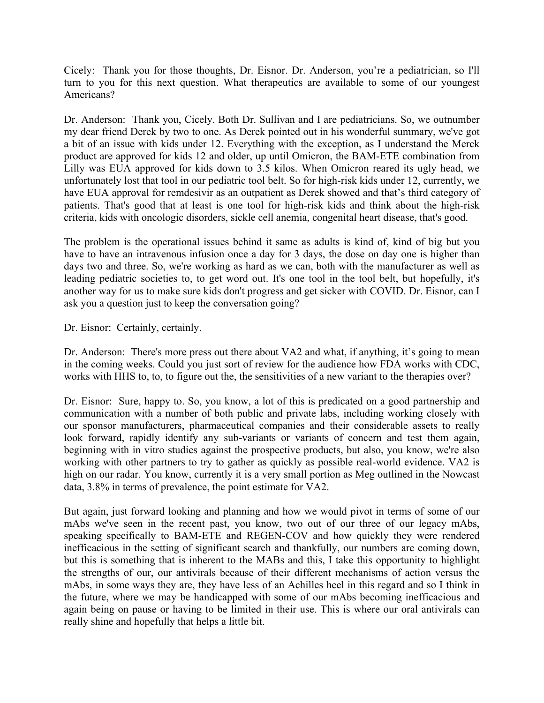Cicely: Thank you for those thoughts, Dr. Eisnor. Dr. Anderson, you're a pediatrician, so I'll turn to you for this next question. What therapeutics are available to some of our youngest Americans?

 product are approved for kids 12 and older, up until Omicron, the BAM-ETE combination from have EUA approval for remdesivir as an outpatient as Derek showed and that's third category of Dr. Anderson: Thank you, Cicely. Both Dr. Sullivan and I are pediatricians. So, we outnumber my dear friend Derek by two to one. As Derek pointed out in his wonderful summary, we've got a bit of an issue with kids under 12. Everything with the exception, as I understand the Merck Lilly was EUA approved for kids down to 3.5 kilos. When Omicron reared its ugly head, we unfortunately lost that tool in our pediatric tool belt. So for high-risk kids under 12, currently, we patients. That's good that at least is one tool for high-risk kids and think about the high-risk criteria, kids with oncologic disorders, sickle cell anemia, congenital heart disease, that's good.

 leading pediatric societies to, to get word out. It's one tool in the tool belt, but hopefully, it's ask you a question just to keep the conversation going? Dr. Eisnor: Certainly, certainly. The problem is the operational issues behind it same as adults is kind of, kind of big but you have to have an intravenous infusion once a day for 3 days, the dose on day one is higher than days two and three. So, we're working as hard as we can, both with the manufacturer as well as another way for us to make sure kids don't progress and get sicker with COVID. Dr. Eisnor, can I

 Dr. Anderson: There's more press out there about VA2 and what, if anything, it's going to mean in the coming weeks. Could you just sort of review for the audience how FDA works with CDC, works with HHS to, to, to figure out the, the sensitivities of a new variant to the therapies over?

 Dr. Eisnor: Sure, happy to. So, you know, a lot of this is predicated on a good partnership and our sponsor manufacturers, pharmaceutical companies and their considerable assets to really working with other partners to try to gather as quickly as possible real-world evidence. VA2 is communication with a number of both public and private labs, including working closely with look forward, rapidly identify any sub-variants or variants of concern and test them again, beginning with in vitro studies against the prospective products, but also, you know, we're also high on our radar. You know, currently it is a very small portion as Meg outlined in the Nowcast data, 3.8% in terms of prevalence, the point estimate for VA2.

 but this is something that is inherent to the MABs and this, I take this opportunity to highlight really shine and hopefully that helps a little bit. But again, just forward looking and planning and how we would pivot in terms of some of our mAbs we've seen in the recent past, you know, two out of our three of our legacy mAbs, speaking specifically to BAM-ETE and REGEN-COV and how quickly they were rendered inefficacious in the setting of significant search and thankfully, our numbers are coming down, the strengths of our, our antivirals because of their different mechanisms of action versus the mAbs, in some ways they are, they have less of an Achilles heel in this regard and so I think in the future, where we may be handicapped with some of our mAbs becoming inefficacious and again being on pause or having to be limited in their use. This is where our oral antivirals can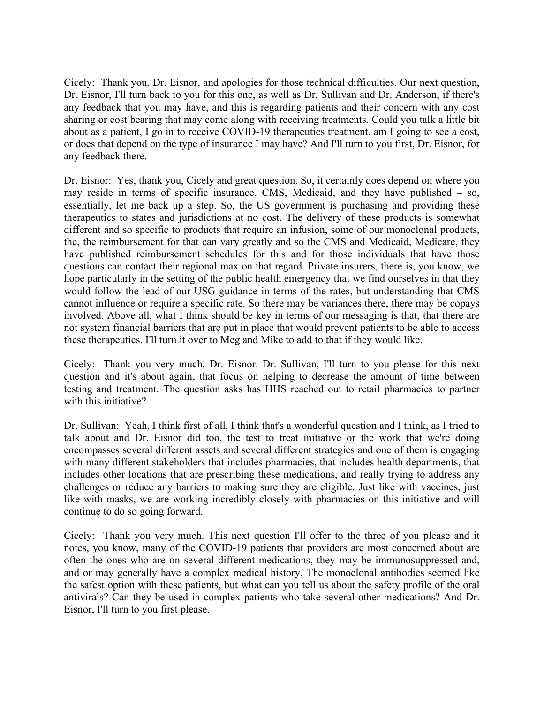Dr. Eisnor, I'll turn back to you for this one, as well as Dr. Sullivan and Dr. Anderson, if there's or does that depend on the type of insurance I may have? And I'll turn to you first, Dr. Eisnor, for Cicely: Thank you, Dr. Eisnor, and apologies for those technical difficulties. Our next question, any feedback that you may have, and this is regarding patients and their concern with any cost sharing or cost bearing that may come along with receiving treatments. Could you talk a little bit about as a patient, I go in to receive COVID-19 therapeutics treatment, am I going to see a cost, any feedback there.

 Dr. Eisnor: Yes, thank you, Cicely and great question. So, it certainly does depend on where you may reside in terms of specific insurance, CMS, Medicaid, and they have published – so, the, the reimbursement for that can vary greatly and so the CMS and Medicaid, Medicare, they have published reimbursement schedules for this and for those individuals that have those questions can contact their regional max on that regard. Private insurers, there is, you know, we essentially, let me back up a step. So, the US government is purchasing and providing these therapeutics to states and jurisdictions at no cost. The delivery of these products is somewhat different and so specific to products that require an infusion, some of our monoclonal products, hope particularly in the setting of the public health emergency that we find ourselves in that they would follow the lead of our USG guidance in terms of the rates, but understanding that CMS cannot influence or require a specific rate. So there may be variances there, there may be copays involved. Above all, what I think should be key in terms of our messaging is that, that there are not system financial barriers that are put in place that would prevent patients to be able to access these therapeutics. I'll turn it over to Meg and Mike to add to that if they would like.

Cicely: Thank you very much, Dr. Eisnor. Dr. Sullivan, I'll turn to you please for this next question and it's about again, that focus on helping to decrease the amount of time between testing and treatment. The question asks has HHS reached out to retail pharmacies to partner with this initiative?

 talk about and Dr. Eisnor did too, the test to treat initiative or the work that we're doing encompasses several different assets and several different strategies and one of them is engaging challenges or reduce any barriers to making sure they are eligible. Just like with vaccines, just like with masks, we are working incredibly closely with pharmacies on this initiative and will Dr. Sullivan: Yeah, I think first of all, I think that's a wonderful question and I think, as I tried to with many different stakeholders that includes pharmacies, that includes health departments, that includes other locations that are prescribing these medications, and really trying to address any continue to do so going forward.

 and or may generally have a complex medical history. The monoclonal antibodies seemed like the safest option with these patients, but what can you tell us about the safety profile of the oral Cicely: Thank you very much. This next question I'll offer to the three of you please and it notes, you know, many of the COVID-19 patients that providers are most concerned about are often the ones who are on several different medications, they may be immunosuppressed and, antivirals? Can they be used in complex patients who take several other medications? And Dr. Eisnor, I'll turn to you first please.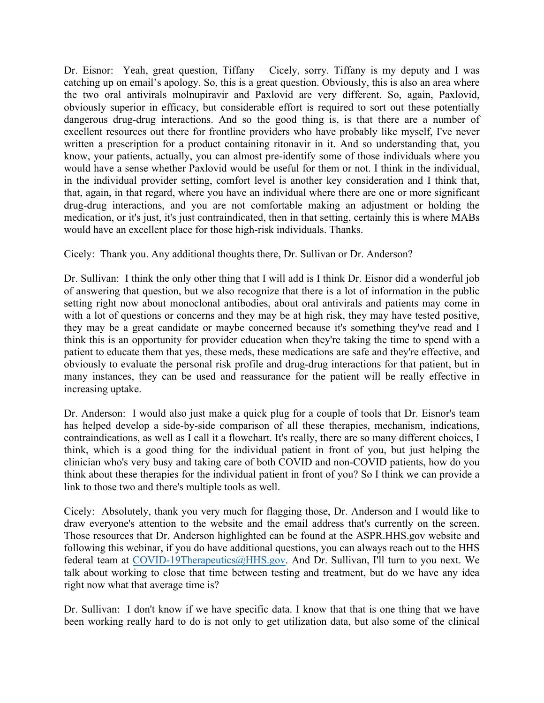medication, or it's just, it's just contraindicated, then in that setting, certainly this is where MABs Dr. Eisnor: Yeah, great question, Tiffany – Cicely, sorry. Tiffany is my deputy and I was catching up on email's apology. So, this is a great question. Obviously, this is also an area where the two oral antivirals molnupiravir and Paxlovid are very different. So, again, Paxlovid, obviously superior in efficacy, but considerable effort is required to sort out these potentially dangerous drug-drug interactions. And so the good thing is, is that there are a number of excellent resources out there for frontline providers who have probably like myself, I've never written a prescription for a product containing ritonavir in it. And so understanding that, you know, your patients, actually, you can almost pre-identify some of those individuals where you would have a sense whether Paxlovid would be useful for them or not. I think in the individual, in the individual provider setting, comfort level is another key consideration and I think that, that, again, in that regard, where you have an individual where there are one or more significant drug-drug interactions, and you are not comfortable making an adjustment or holding the would have an excellent place for those high-risk individuals. Thanks.

Cicely: Thank you. Any additional thoughts there, Dr. Sullivan or Dr. Anderson?

 Dr. Sullivan: I think the only other thing that I will add is I think Dr. Eisnor did a wonderful job of answering that question, but we also recognize that there is a lot of information in the public setting right now about monoclonal antibodies, about oral antivirals and patients may come in with a lot of questions or concerns and they may be at high risk, they may have tested positive, they may be a great candidate or maybe concerned because it's something they've read and I think this is an opportunity for provider education when they're taking the time to spend with a patient to educate them that yes, these meds, these medications are safe and they're effective, and obviously to evaluate the personal risk profile and drug-drug interactions for that patient, but in many instances, they can be used and reassurance for the patient will be really effective in increasing uptake.

 has helped develop a side-by-side comparison of all these therapies, mechanism, indications, contraindications, as well as I call it a flowchart. It's really, there are so many different choices, I Dr. Anderson: I would also just make a quick plug for a couple of tools that Dr. Eisnor's team think, which is a good thing for the individual patient in front of you, but just helping the clinician who's very busy and taking care of both COVID and non-COVID patients, how do you think about these therapies for the individual patient in front of you? So I think we can provide a link to those two and there's multiple tools as well.

 following this webinar, if you do have additional questions, you can always reach out to the HHS Cicely: Absolutely, thank you very much for flagging those, Dr. Anderson and I would like to draw everyone's attention to the website and the email address that's currently on the screen. Those resources that Dr. Anderson highlighted can be found at the ASPR.HHS.gov website and federal team at [COVID-19Therapeutics@HHS.gov.](mailto:COVID-19Therapeutics@HHS.gov) And Dr. Sullivan, I'll turn to you next. We talk about working to close that time between testing and treatment, but do we have any idea right now what that average time is?

Dr. Sullivan: I don't know if we have specific data. I know that that is one thing that we have been working really hard to do is not only to get utilization data, but also some of the clinical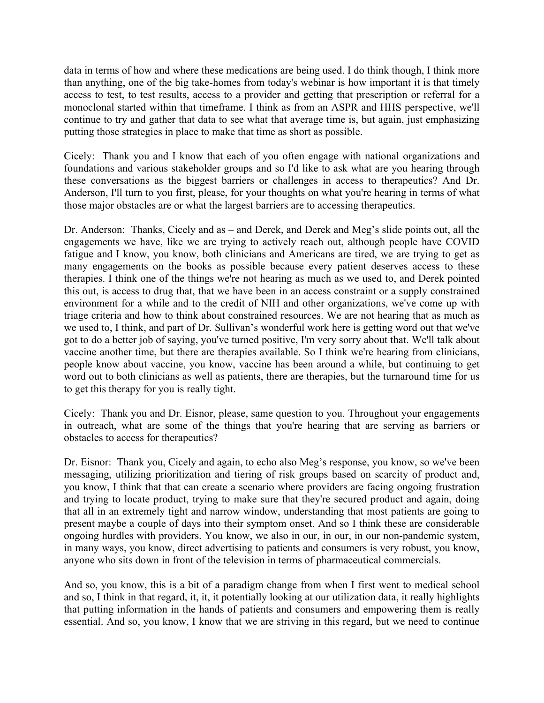continue to try and gather that data to see what that average time is, but again, just emphasizing data in terms of how and where these medications are being used. I do think though, I think more than anything, one of the big take-homes from today's webinar is how important it is that timely access to test, to test results, access to a provider and getting that prescription or referral for a monoclonal started within that timeframe. I think as from an ASPR and HHS perspective, we'll putting those strategies in place to make that time as short as possible.

Cicely: Thank you and I know that each of you often engage with national organizations and foundations and various stakeholder groups and so I'd like to ask what are you hearing through these conversations as the biggest barriers or challenges in access to therapeutics? And Dr. Anderson, I'll turn to you first, please, for your thoughts on what you're hearing in terms of what those major obstacles are or what the largest barriers are to accessing therapeutics.

 Dr. Anderson: Thanks, Cicely and as – and Derek, and Derek and Meg's slide points out, all the this out, is access to drug that, that we have been in an access constraint or a supply constrained triage criteria and how to think about constrained resources. We are not hearing that as much as engagements we have, like we are trying to actively reach out, although people have COVID fatigue and I know, you know, both clinicians and Americans are tired, we are trying to get as many engagements on the books as possible because every patient deserves access to these therapies. I think one of the things we're not hearing as much as we used to, and Derek pointed environment for a while and to the credit of NIH and other organizations, we've come up with we used to, I think, and part of Dr. Sullivan's wonderful work here is getting word out that we've got to do a better job of saying, you've turned positive, I'm very sorry about that. We'll talk about vaccine another time, but there are therapies available. So I think we're hearing from clinicians, people know about vaccine, you know, vaccine has been around a while, but continuing to get word out to both clinicians as well as patients, there are therapies, but the turnaround time for us to get this therapy for you is really tight.

Cicely: Thank you and Dr. Eisnor, please, same question to you. Throughout your engagements in outreach, what are some of the things that you're hearing that are serving as barriers or obstacles to access for therapeutics?

 Dr. Eisnor: Thank you, Cicely and again, to echo also Meg's response, you know, so we've been present maybe a couple of days into their symptom onset. And so I think these are considerable anyone who sits down in front of the television in terms of pharmaceutical commercials. messaging, utilizing prioritization and tiering of risk groups based on scarcity of product and, you know, I think that that can create a scenario where providers are facing ongoing frustration and trying to locate product, trying to make sure that they're secured product and again, doing that all in an extremely tight and narrow window, understanding that most patients are going to ongoing hurdles with providers. You know, we also in our, in our, in our non-pandemic system, in many ways, you know, direct advertising to patients and consumers is very robust, you know,

 And so, you know, this is a bit of a paradigm change from when I first went to medical school and so, I think in that regard, it, it, it potentially looking at our utilization data, it really highlights that putting information in the hands of patients and consumers and empowering them is really essential. And so, you know, I know that we are striving in this regard, but we need to continue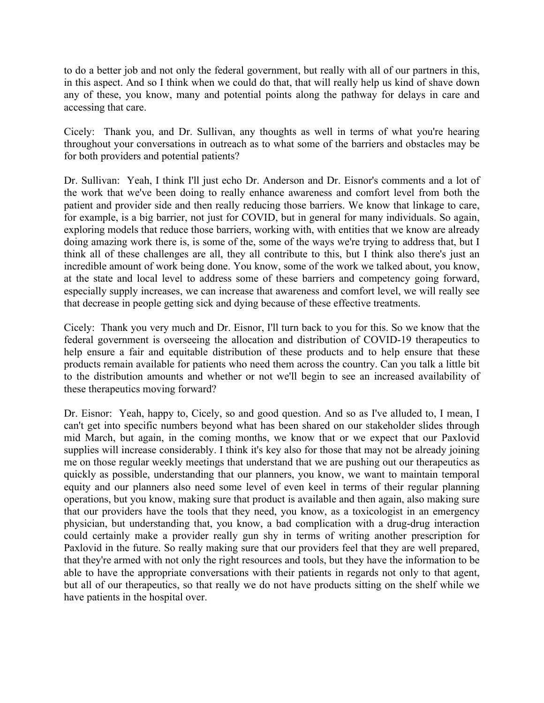to do a better job and not only the federal government, but really with all of our partners in this, any of these, you know, many and potential points along the pathway for delays in care and in this aspect. And so I think when we could do that, that will really help us kind of shave down accessing that care.

Cicely: Thank you, and Dr. Sullivan, any thoughts as well in terms of what you're hearing throughout your conversations in outreach as to what some of the barriers and obstacles may be for both providers and potential patients?

 Dr. Sullivan: Yeah, I think I'll just echo Dr. Anderson and Dr. Eisnor's comments and a lot of exploring models that reduce those barriers, working with, with entities that we know are already doing amazing work there is, is some of the, some of the ways we're trying to address that, but I the work that we've been doing to really enhance awareness and comfort level from both the patient and provider side and then really reducing those barriers. We know that linkage to care, for example, is a big barrier, not just for COVID, but in general for many individuals. So again, think all of these challenges are all, they all contribute to this, but I think also there's just an incredible amount of work being done. You know, some of the work we talked about, you know, at the state and local level to address some of these barriers and competency going forward, especially supply increases, we can increase that awareness and comfort level, we will really see that decrease in people getting sick and dying because of these effective treatments.

 Cicely: Thank you very much and Dr. Eisnor, I'll turn back to you for this. So we know that the help ensure a fair and equitable distribution of these products and to help ensure that these federal government is overseeing the allocation and distribution of COVID-19 therapeutics to products remain available for patients who need them across the country. Can you talk a little bit to the distribution amounts and whether or not we'll begin to see an increased availability of these therapeutics moving forward?

 that our providers have the tools that they need, you know, as a toxicologist in an emergency Dr. Eisnor: Yeah, happy to, Cicely, so and good question. And so as I've alluded to, I mean, I can't get into specific numbers beyond what has been shared on our stakeholder slides through mid March, but again, in the coming months, we know that or we expect that our Paxlovid supplies will increase considerably. I think it's key also for those that may not be already joining me on those regular weekly meetings that understand that we are pushing out our therapeutics as quickly as possible, understanding that our planners, you know, we want to maintain temporal equity and our planners also need some level of even keel in terms of their regular planning operations, but you know, making sure that product is available and then again, also making sure physician, but understanding that, you know, a bad complication with a drug-drug interaction could certainly make a provider really gun shy in terms of writing another prescription for Paxlovid in the future. So really making sure that our providers feel that they are well prepared, that they're armed with not only the right resources and tools, but they have the information to be able to have the appropriate conversations with their patients in regards not only to that agent, but all of our therapeutics, so that really we do not have products sitting on the shelf while we have patients in the hospital over.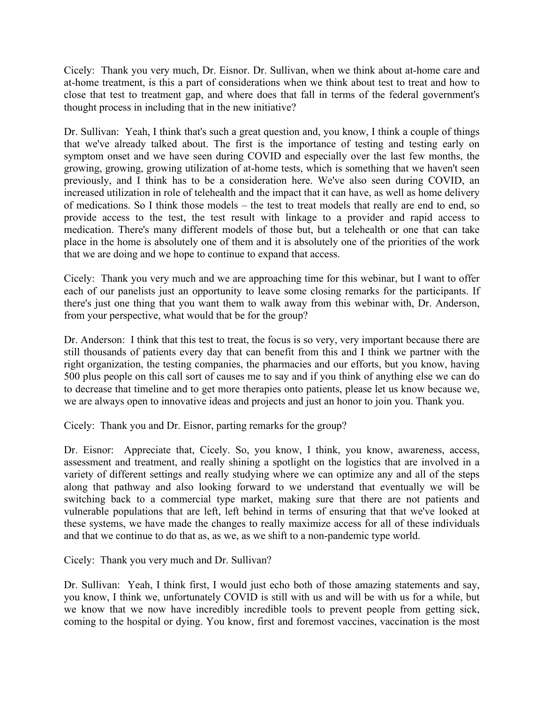Cicely: Thank you very much, Dr. Eisnor. Dr. Sullivan, when we think about at-home care and at-home treatment, is this a part of considerations when we think about test to treat and how to close that test to treatment gap, and where does that fall in terms of the federal government's thought process in including that in the new initiative?

 symptom onset and we have seen during COVID and especially over the last few months, the medication. There's many different models of those but, but a telehealth or one that can take place in the home is absolutely one of them and it is absolutely one of the priorities of the work Dr. Sullivan: Yeah, I think that's such a great question and, you know, I think a couple of things that we've already talked about. The first is the importance of testing and testing early on growing, growing, growing utilization of at-home tests, which is something that we haven't seen previously, and I think has to be a consideration here. We've also seen during COVID, an increased utilization in role of telehealth and the impact that it can have, as well as home delivery of medications. So I think those models – the test to treat models that really are end to end, so provide access to the test, the test result with linkage to a provider and rapid access to that we are doing and we hope to continue to expand that access.

 from your perspective, what would that be for the group? Cicely: Thank you very much and we are approaching time for this webinar, but I want to offer each of our panelists just an opportunity to leave some closing remarks for the participants. If there's just one thing that you want them to walk away from this webinar with, Dr. Anderson,

 500 plus people on this call sort of causes me to say and if you think of anything else we can do Dr. Anderson: I think that this test to treat, the focus is so very, very important because there are still thousands of patients every day that can benefit from this and I think we partner with the right organization, the testing companies, the pharmacies and our efforts, but you know, having to decrease that timeline and to get more therapies onto patients, please let us know because we, we are always open to innovative ideas and projects and just an honor to join you. Thank you.

Cicely: Thank you and Dr. Eisnor, parting remarks for the group?

 variety of different settings and really studying where we can optimize any and all of the steps vulnerable populations that are left, left behind in terms of ensuring that that we've looked at and that we continue to do that as, as we, as we shift to a non-pandemic type world. Dr. Eisnor: Appreciate that, Cicely. So, you know, I think, you know, awareness, access, assessment and treatment, and really shining a spotlight on the logistics that are involved in a along that pathway and also looking forward to we understand that eventually we will be switching back to a commercial type market, making sure that there are not patients and these systems, we have made the changes to really maximize access for all of these individuals

Cicely: Thank you very much and Dr. Sullivan?

 you know, I think we, unfortunately COVID is still with us and will be with us for a while, but Dr. Sullivan: Yeah, I think first, I would just echo both of those amazing statements and say, we know that we now have incredibly incredible tools to prevent people from getting sick, coming to the hospital or dying. You know, first and foremost vaccines, vaccination is the most